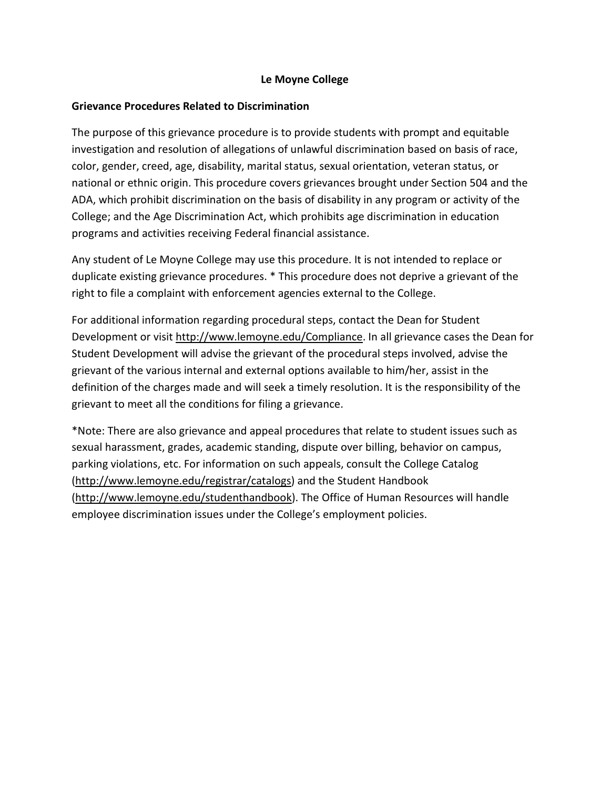## **Le Moyne College**

# **Grievance Procedures Related to Discrimination**

The purpose of this grievance procedure is to provide students with prompt and equitable investigation and resolution of allegations of unlawful discrimination based on basis of race, color, gender, creed, age, disability, marital status, sexual orientation, veteran status, or national or ethnic origin. This procedure covers grievances brought under Section 504 and the ADA, which prohibit discrimination on the basis of disability in any program or activity of the College; and the Age Discrimination Act, which prohibits age discrimination in education programs and activities receiving Federal financial assistance.

Any student of Le Moyne College may use this procedure. It is not intended to replace or duplicate existing grievance procedures. \* This procedure does not deprive a grievant of the right to file a complaint with enforcement agencies external to the College.

For additional information regarding procedural steps, contact the Dean for Student Development or visit http://www.lemoyne.edu/Compliance. In all grievance cases the Dean for Student Development will advise the grievant of the procedural steps involved, advise the grievant of the various internal and external options available to him/her, assist in the definition of the charges made and will seek a timely resolution. It is the responsibility of the grievant to meet all the conditions for filing a grievance.

\*Note: There are also grievance and appeal procedures that relate to student issues such as sexual harassment, grades, academic standing, dispute over billing, behavior on campus, parking violations, etc. For information on such appeals, consult the College Catalog (http://www.lemoyne.edu/registrar/catalogs) and the Student Handbook (http://www.lemoyne.edu/studenthandbook). The Office of Human Resources will handle employee discrimination issues under the College's employment policies.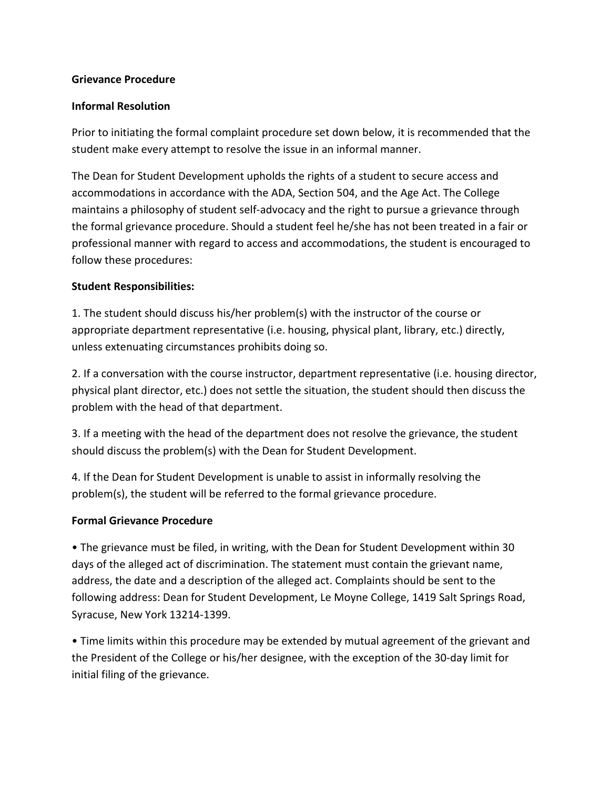#### **Grievance Procedure**

### **Informal Resolution**

Prior to initiating the formal complaint procedure set down below, it is recommended that the student make every attempt to resolve the issue in an informal manner.

The Dean for Student Development upholds the rights of a student to secure access and accommodations in accordance with the ADA, Section 504, and the Age Act. The College maintains a philosophy of student self-advocacy and the right to pursue a grievance through the formal grievance procedure. Should a student feel he/she has not been treated in a fair or professional manner with regard to access and accommodations, the student is encouraged to follow these procedures:

### **Student Responsibilities:**

1. The student should discuss his/her problem(s) with the instructor of the course or appropriate department representative (i.e. housing, physical plant, library, etc.) directly, unless extenuating circumstances prohibits doing so.

2. If a conversation with the course instructor, department representative (i.e. housing director, physical plant director, etc.) does not settle the situation, the student should then discuss the problem with the head of that department.

3. If a meeting with the head of the department does not resolve the grievance, the student should discuss the problem(s) with the Dean for Student Development.

4. If the Dean for Student Development is unable to assist in informally resolving the problem(s), the student will be referred to the formal grievance procedure.

### **Formal Grievance Procedure**

• The grievance must be filed, in writing, with the Dean for Student Development within 30 days of the alleged act of discrimination. The statement must contain the grievant name, address, the date and a description of the alleged act. Complaints should be sent to the following address: Dean for Student Development, Le Moyne College, 1419 Salt Springs Road, Syracuse, New York 13214-1399.

• Time limits within this procedure may be extended by mutual agreement of the grievant and the President of the College or his/her designee, with the exception of the 30-day limit for initial filing of the grievance.